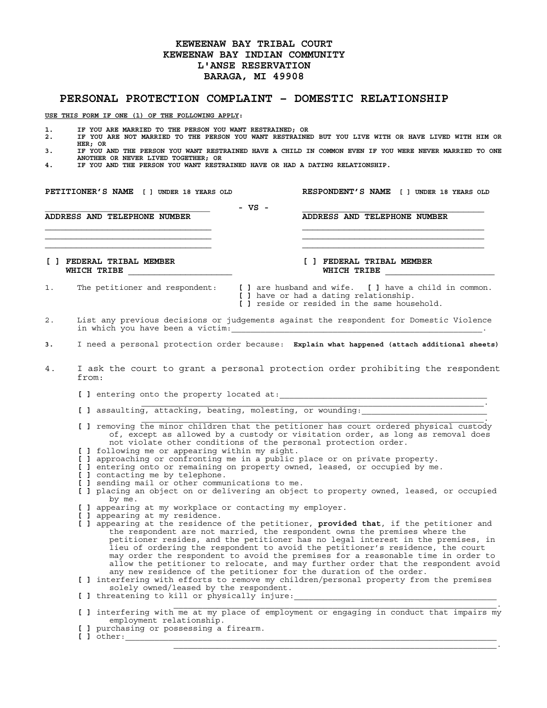## **KEWEENAW BAY TRIBAL COURT KEWEENAW BAY INDIAN COMMUNITY L'ANSE RESERVATION BARAGA, MI 49908**

## **PERSONAL PROTECTION COMPLAINT – DOMESTIC RELATIONSHIP**

**USE THIS FORM IF ONE (1) OF THE FOLLOWING APPLY:** 

- **1. IF YOU ARE MARRIED TO THE PERSON YOU WANT RESTRAINED; OR**
- **2. IF YOU ARE NOT MARRIED TO THE PERSON YOU WANT RESTRAINED BUT YOU LIVE WITH OR HAVE LIVED WITH HIM OR HER; OR**
- **3. IF YOU AND THE PERSON YOU WANT RESTRAINED HAVE A CHILD IN COMMON EVEN IF YOU WERE NEVER MARRIED TO ONE ANOTHER OR NEVER LIVED TOGETHER; OR**
- **4. IF YOU AND THE PERSON YOU WANT RESTRAINED HAVE OR HAD A DATING RELATIONSHIP.**

**PETITIONER'S NAME [ ] UNDER 18 YEARS OLD RESPONDENT'S NAME [ ] UNDER 18 YEARS OLD** 

**\_\_\_\_\_\_\_\_\_\_\_\_\_\_\_\_\_\_\_\_\_\_\_\_\_\_\_\_\_\_\_\_\_\_\_\_\_\_\_\_ - VS - \_\_\_\_\_\_\_\_\_\_\_\_\_\_\_\_\_\_\_\_\_\_\_\_\_\_\_\_\_\_\_\_\_\_\_ ADDRESS AND TELEPHONE NUMBER ADDRESS AND TELEPHONE NUMBER**   $\mathcal{L} = \{ \mathcal{L} \mathcal{L} \mathcal{L} \mathcal{L} \mathcal{L} \mathcal{L} \mathcal{L} \mathcal{L} \mathcal{L} \mathcal{L} \mathcal{L} \mathcal{L} \mathcal{L} \mathcal{L} \mathcal{L} \mathcal{L} \mathcal{L} \mathcal{L} \mathcal{L} \mathcal{L} \mathcal{L} \mathcal{L} \mathcal{L} \mathcal{L} \mathcal{L} \mathcal{L} \mathcal{L} \mathcal{L} \mathcal{L} \mathcal{L} \mathcal{L} \mathcal{L} \mathcal{L} \mathcal{L} \mathcal{L} \$ 

**[ ] FEDERAL TRIBAL MEMBER [ ] FEDERAL TRIBAL MEMBER** 

WHICH TRIBE

- 1. The petitioner and respondent: **[ ]** are husband and wife. **[ ]** have a child in common.
	- **[ ]** have or had a dating relationship. **[ ]** reside or resided in the same household.
- 2. List any previous decisions or judgements against the respondent for Domestic Violence in which you have been a victim:

**\_\_\_\_\_\_\_\_\_\_\_\_\_\_\_\_\_\_\_\_\_\_\_\_\_\_\_\_\_\_\_\_ \_\_\_\_\_\_\_\_\_\_\_\_\_\_\_\_\_\_\_\_\_\_\_\_\_\_\_\_\_\_\_\_\_\_\_ \_\_\_\_\_\_\_\_\_\_\_\_\_\_\_\_\_\_\_\_\_\_\_\_\_\_\_\_\_\_\_\_ \_\_\_\_\_\_\_\_\_\_\_\_\_\_\_\_\_\_\_\_\_\_\_\_\_\_\_\_\_\_\_\_\_\_\_** 

- **3.** I need a personal protection order because: **Explain what happened (attach additional sheets)**
- 4. I ask the court to grant a personal protection order prohibiting the respondent from:
- [ ] entering onto the property located at:  $\overline{\phantom{a}}$  , and the contract of the contract of the contract of the contract of the contract of the contract of the contract of the contract of the contract of the contract of the contract of the contract of the contrac
	- [ ] assaulting, attacking, beating, molesting, or wounding:
	- **[ ]** removing the minor children that the petitioner has court ordered physical custody of, except as allowed by a custody or visitation order, as long as removal does not violate other conditions of the personal protection order.

 $\overline{\phantom{a}}$  , and the state of the state of the state of the state of the state of the state of the state of the state of the state of the state of the state of the state of the state of the state of the state of the stat

- **[ ]** following me or appearing within my sight.
- **[ ]** approaching or confronting me in a public place or on private property.
- **[ ]** entering onto or remaining on property owned, leased, or occupied by me.
- **[ ]** contacting me by telephone.
- **[ ]** sending mail or other communications to me.
- **[ ]** placing an object on or delivering an object to property owned, leased, or occupied by me.
- **[ ]** appearing at my workplace or contacting my employer.
- **[ ]** appearing at my residence.
- **[ ]** appearing at the residence of the petitioner, **provided that**, if the petitioner and the respondent are not married, the respondent owns the premises where the petitioner resides, and the petitioner has no legal interest in the premises, in lieu of ordering the respondent to avoid the petitioner's residence, the court may order the respondent to avoid the premises for a reasonable time in order to allow the petitioner to relocate, and may further order that the respondent avoid any new residence of the petitioner for the duration of the order.

**[ ]** interfering with efforts to remove my children/personal property from the premises solely owned/leased by the respondent.

[ ] threatening to kill or physically injure:  $\overline{\phantom{a}}$  ,  $\overline{\phantom{a}}$  ,  $\overline{\phantom{a}}$  ,  $\overline{\phantom{a}}$  ,  $\overline{\phantom{a}}$  ,  $\overline{\phantom{a}}$  ,  $\overline{\phantom{a}}$  ,  $\overline{\phantom{a}}$  ,  $\overline{\phantom{a}}$  ,  $\overline{\phantom{a}}$  ,  $\overline{\phantom{a}}$  ,  $\overline{\phantom{a}}$  ,  $\overline{\phantom{a}}$  ,  $\overline{\phantom{a}}$  ,  $\overline{\phantom{a}}$  ,  $\overline{\phantom{a}}$ 

**[ ]** interfering with me at my place of employment or engaging in conduct that impairs my employment relationship.

\_\_\_\_\_\_\_\_\_\_\_\_\_\_\_\_\_\_\_\_\_\_\_\_\_\_\_\_\_\_\_\_\_\_\_\_\_\_\_\_\_\_\_\_\_\_\_\_\_\_\_\_\_\_\_\_\_\_\_\_\_\_\_\_\_\_\_.

- **[ ]** purchasing or possessing a firearm.
- $\blacksquare$  ] other: